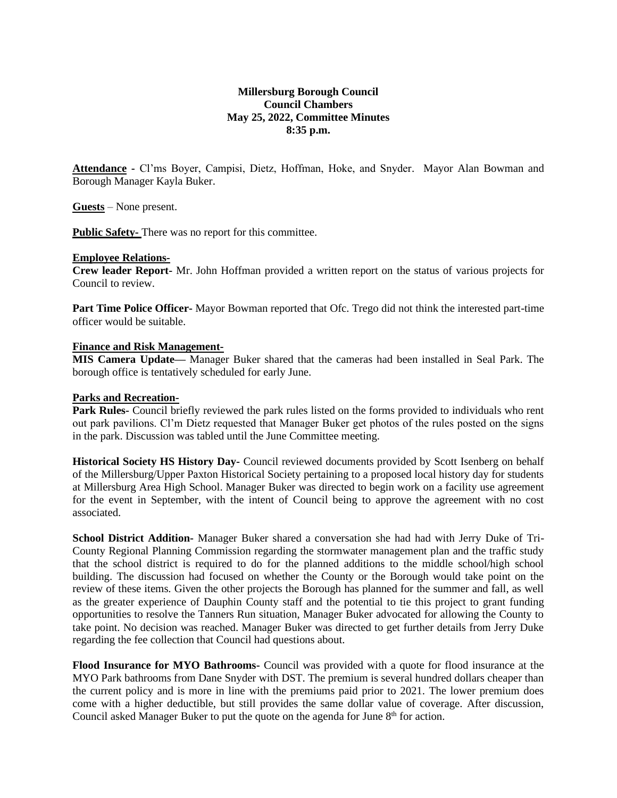# **Millersburg Borough Council Council Chambers May 25, 2022, Committee Minutes 8:35 p.m.**

**Attendance -** Cl'ms Boyer, Campisi, Dietz, Hoffman, Hoke, and Snyder. Mayor Alan Bowman and Borough Manager Kayla Buker.

**Guests** – None present.

**Public Safety-** There was no report for this committee.

### **Employee Relations-**

**Crew leader Report-** Mr. John Hoffman provided a written report on the status of various projects for Council to review.

**Part Time Police Officer-** Mayor Bowman reported that Ofc. Trego did not think the interested part-time officer would be suitable.

### **Finance and Risk Management-**

**MIS Camera Update—** Manager Buker shared that the cameras had been installed in Seal Park. The borough office is tentatively scheduled for early June.

## **Parks and Recreation-**

**Park Rules-** Council briefly reviewed the park rules listed on the forms provided to individuals who rent out park pavilions. Cl'm Dietz requested that Manager Buker get photos of the rules posted on the signs in the park. Discussion was tabled until the June Committee meeting.

**Historical Society HS History Day-** Council reviewed documents provided by Scott Isenberg on behalf of the Millersburg/Upper Paxton Historical Society pertaining to a proposed local history day for students at Millersburg Area High School. Manager Buker was directed to begin work on a facility use agreement for the event in September, with the intent of Council being to approve the agreement with no cost associated.

**School District Addition-** Manager Buker shared a conversation she had had with Jerry Duke of Tri-County Regional Planning Commission regarding the stormwater management plan and the traffic study that the school district is required to do for the planned additions to the middle school/high school building. The discussion had focused on whether the County or the Borough would take point on the review of these items. Given the other projects the Borough has planned for the summer and fall, as well as the greater experience of Dauphin County staff and the potential to tie this project to grant funding opportunities to resolve the Tanners Run situation, Manager Buker advocated for allowing the County to take point. No decision was reached. Manager Buker was directed to get further details from Jerry Duke regarding the fee collection that Council had questions about.

**Flood Insurance for MYO Bathrooms-** Council was provided with a quote for flood insurance at the MYO Park bathrooms from Dane Snyder with DST. The premium is several hundred dollars cheaper than the current policy and is more in line with the premiums paid prior to 2021. The lower premium does come with a higher deductible, but still provides the same dollar value of coverage. After discussion, Council asked Manager Buker to put the quote on the agenda for June  $8<sup>th</sup>$  for action.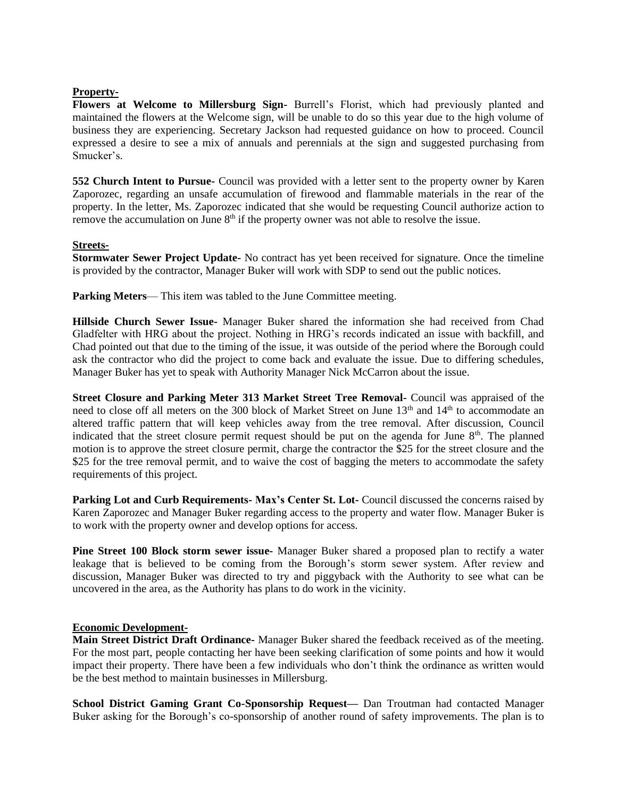# **Property-**

**Flowers at Welcome to Millersburg Sign-** Burrell's Florist, which had previously planted and maintained the flowers at the Welcome sign, will be unable to do so this year due to the high volume of business they are experiencing. Secretary Jackson had requested guidance on how to proceed. Council expressed a desire to see a mix of annuals and perennials at the sign and suggested purchasing from Smucker's.

**552 Church Intent to Pursue-** Council was provided with a letter sent to the property owner by Karen Zaporozec, regarding an unsafe accumulation of firewood and flammable materials in the rear of the property. In the letter, Ms. Zaporozec indicated that she would be requesting Council authorize action to remove the accumulation on June 8<sup>th</sup> if the property owner was not able to resolve the issue.

# **Streets-**

**Stormwater Sewer Project Update-** No contract has yet been received for signature. Once the timeline is provided by the contractor, Manager Buker will work with SDP to send out the public notices.

**Parking Meters— This item was tabled to the June Committee meeting.** 

**Hillside Church Sewer Issue-** Manager Buker shared the information she had received from Chad Gladfelter with HRG about the project. Nothing in HRG's records indicated an issue with backfill, and Chad pointed out that due to the timing of the issue, it was outside of the period where the Borough could ask the contractor who did the project to come back and evaluate the issue. Due to differing schedules, Manager Buker has yet to speak with Authority Manager Nick McCarron about the issue.

**Street Closure and Parking Meter 313 Market Street Tree Removal-** Council was appraised of the need to close off all meters on the 300 block of Market Street on June 13<sup>th</sup> and 14<sup>th</sup> to accommodate an altered traffic pattern that will keep vehicles away from the tree removal. After discussion, Council indicated that the street closure permit request should be put on the agenda for June  $8<sup>th</sup>$ . The planned motion is to approve the street closure permit, charge the contractor the \$25 for the street closure and the \$25 for the tree removal permit, and to waive the cost of bagging the meters to accommodate the safety requirements of this project.

**Parking Lot and Curb Requirements- Max's Center St. Lot-** Council discussed the concerns raised by Karen Zaporozec and Manager Buker regarding access to the property and water flow. Manager Buker is to work with the property owner and develop options for access.

**Pine Street 100 Block storm sewer issue-** Manager Buker shared a proposed plan to rectify a water leakage that is believed to be coming from the Borough's storm sewer system. After review and discussion, Manager Buker was directed to try and piggyback with the Authority to see what can be uncovered in the area, as the Authority has plans to do work in the vicinity.

#### **Economic Development-**

**Main Street District Draft Ordinance-** Manager Buker shared the feedback received as of the meeting. For the most part, people contacting her have been seeking clarification of some points and how it would impact their property. There have been a few individuals who don't think the ordinance as written would be the best method to maintain businesses in Millersburg.

**School District Gaming Grant Co-Sponsorship Request—** Dan Troutman had contacted Manager Buker asking for the Borough's co-sponsorship of another round of safety improvements. The plan is to